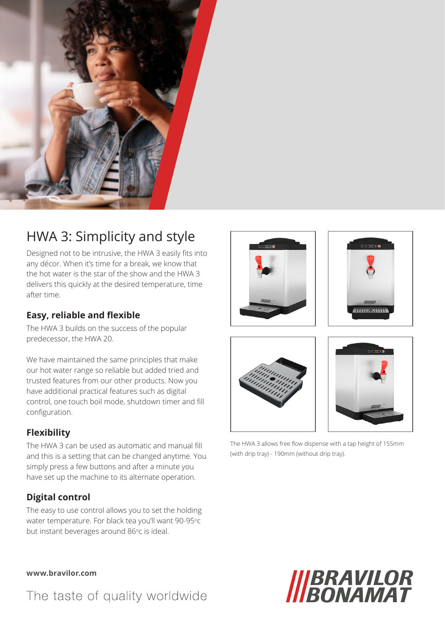

## HWA 3: Simplicity and style

Designed not to be intrusive, the HWA 3 easily fits into any décor. When it's time for a break, we know that the hot water is the star of the show and the HWA 3 delivers this quickly at the desired temperature, time after time.

### **Easy, reliable and flexible**

The HWA 3 builds on the success of the popular predecessor, the HWA 20.

We have maintained the same principles that make our hot water range so reliable but added tried and trusted features from our other products. Now you have additional practical features such as digital control, one touch boil mode, shutdown timer and fill configuration.

### **Flexibility**

The HWA 3 can be used as automatic and manual fill and this is a setting that can be changed anytime. You simply press a few buttons and after a minute you have set up the machine to its alternate operation.

### **Digital control**

The easy to use control allows you to set the holding water temperature. For black tea you'll want 90-95°C but instant beverages around 86°c is ideal.









The HWA 3 allows free flow dispense with a tap height of 155mm (with drip tray) - 190mm (without drip tray).



The taste of quality worldwide